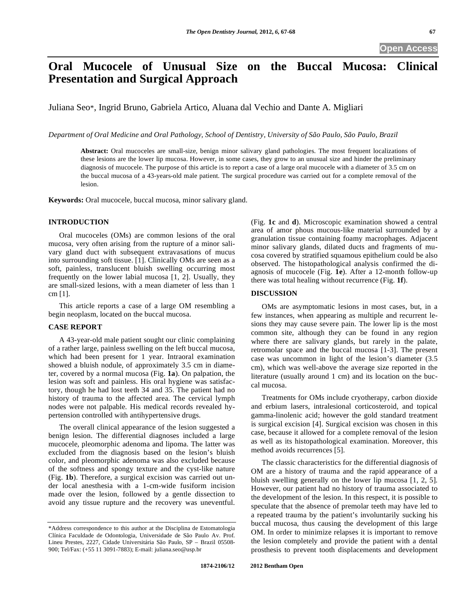# **Oral Mucocele of Unusual Size on the Buccal Mucosa: Clinical Presentation and Surgical Approach**

Juliana Seo\*, Ingrid Bruno, Gabriela Artico, Aluana dal Vechio and Dante A. Migliari

*Department of Oral Medicine and Oral Pathology, School of Dentistry, University of São Paulo, São Paulo, Brazil* 

**Abstract:** Oral mucoceles are small-size, benign minor salivary gland pathologies. The most frequent localizations of these lesions are the lower lip mucosa. However, in some cases, they grow to an unusual size and hinder the preliminary diagnosis of mucocele. The purpose of this article is to report a case of a large oral mucocele with a diameter of 3.5 cm on the buccal mucosa of a 43-years-old male patient. The surgical procedure was carried out for a complete removal of the lesion.

**Keywords:** Oral mucocele, buccal mucosa, minor salivary gland.

## **INTRODUCTION**

Oral mucoceles (OMs) are common lesions of the oral mucosa, very often arising from the rupture of a minor salivary gland duct with subsequent extravasations of mucus into surrounding soft tissue. [1]. Clinically OMs are seen as a soft, painless, translucent bluish swelling occurring most frequently on the lower labial mucosa [1, 2]. Usually, they are small-sized lesions, with a mean diameter of less than 1 cm [1].

This article reports a case of a large OM resembling a begin neoplasm, located on the buccal mucosa.

### **CASE REPORT**

A 43-year-old male patient sought our clinic complaining of a rather large, painless swelling on the left buccal mucosa, which had been present for 1 year. Intraoral examination showed a bluish nodule, of approximately 3.5 cm in diameter, covered by a normal mucosa (Fig. **1a**). On palpation, the lesion was soft and painless. His oral hygiene was satisfactory, though he had lost teeth 34 and 35. The patient had no history of trauma to the affected area. The cervical lymph nodes were not palpable. His medical records revealed hypertension controlled with antihypertensive drugs.

The overall clinical appearance of the lesion suggested a benign lesion. The differential diagnoses included a large mucocele, pleomorphic adenoma and lipoma. The latter was excluded from the diagnosis based on the lesion's bluish color, and pleomorphic adenoma was also excluded because of the softness and spongy texture and the cyst-like nature (Fig. **1b**). Therefore, a surgical excision was carried out under local anesthesia with a 1-cm-wide fusiform incision made over the lesion, followed by a gentle dissection to avoid any tissue rupture and the recovery was uneventful. (Fig. **1c** and **d**). Microscopic examination showed a central area of amor phous mucous-like material surrounded by a granulation tissue containing foamy macrophages. Adjacent minor salivary glands, dilated ducts and fragments of mucosa covered by stratified squamous epithelium could be also observed. The histopathological analysis confirmed the diagnosis of mucocele (Fig. **1e**). After a 12-month follow-up there was total healing without recurrence (Fig. **1f**).

## **DISCUSSION**

OMs are asymptomatic lesions in most cases, but, in a few instances, when appearing as multiple and recurrent lesions they may cause severe pain. The lower lip is the most common site, although they can be found in any region where there are salivary glands, but rarely in the palate, retromolar space and the buccal mucosa [1-3]. The present case was uncommon in light of the lesion's diameter (3.5 cm), which was well-above the average size reported in the literature (usually around 1 cm) and its location on the buccal mucosa.

Treatments for OMs include cryotherapy, carbon dioxide and erbium lasers, intralesional corticosteroid, and topical gamma-linolenic acid; however the gold standard treatment is surgical excision [4]. Surgical excision was chosen in this case, because it allowed for a complete removal of the lesion as well as its histopathological examination. Moreover, this method avoids recurrences [5].

The classic characteristics for the differential diagnosis of OM are a history of trauma and the rapid appearance of a bluish swelling generally on the lower lip mucosa [1, 2, 5]. However, our patient had no history of trauma associated to the development of the lesion. In this respect, it is possible to speculate that the absence of premolar teeth may have led to a repeated trauma by the patient's involuntarily sucking his buccal mucosa, thus causing the development of this large OM. In order to minimize relapses it is important to remove the lesion completely and provide the patient with a dental prosthesis to prevent tooth displacements and development

<sup>\*</sup>Address correspondence to this author at the Disciplina de Estomatologia Clínica Faculdade de Odontologia, Universidade de São Paulo Av. Prof. Lineu Prestes, 2227, Cidade Universitária São Paulo, SP – Brazil 05508- 900; Tel/Fax: (+55 11 3091-7883); E-mail: juliana.seo@usp.br